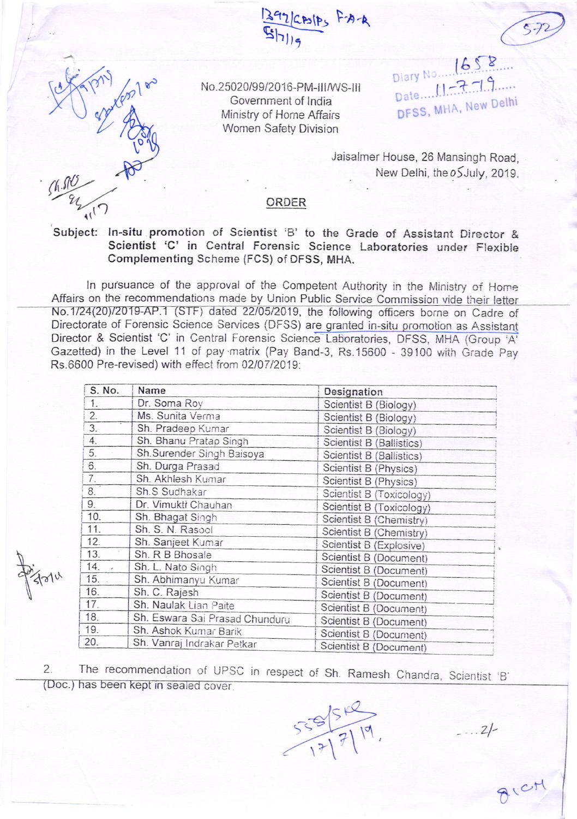2/CASIPS F-A-A

No.25020/99/2016-PM-III/WS-III Government of India Ministry of Home Affairs Women Safety Division

 $1658$ Diary No... Date 11-7-19 DFSS, MHA, New Delhi

Jaisalmer House, 26 Mansingh Road, New Delhi, the oSJuly, 2019.

## ORDER

Subject: In-situ promotion of Scientist 'B' to the Grade of Assistant Director & Scientist 'C' in Central Forensic Science Laboratories under Flexible Complementing Scheme (FCS) of DFSS, MHA.

In pursuance of the approval of the Competent Authority in the Ministry of Home Affairs on the recommendations made by Union Public Service Commission vide their letter No.1/24(20)/2019-AP.1 (STF) dated 22/05/2019, the following officers borne on Cadre of Directorate of Forensic Science Services (DFSS) are granted in-situ promotion as Assistant Director & Scientist 'C' in Central Forensic Science Laboratories, DFSS, MHA (Group 'A' Gazetted) in the Level 11 of pay matrix (Pay Band-3, Rs.15600 - 39100 with Grade Pay Rs.6600 Pre-revised) with effect from 02/07/2019:

| S. No.           | Name                           | Designation              |
|------------------|--------------------------------|--------------------------|
| 1.               | Dr. Soma Roy                   | Scientist B (Biology)    |
| 2.               | Ms. Sunita Verma               | Scientist B (Biology)    |
| 3.               | Sh. Pradeep Kumar              | Scientist B (Biology)    |
| 4.               | Sh. Bhanu Pratap Singh         | Scientist B (Ballistics) |
| 5.               | Sh.Surender Singh Baisoya      | Scientist B (Ballistics) |
| $\hat{\sigma}$ . | Sh. Durga Prasad               | Scientist B (Physics)    |
| 7.               | Sh. Akhlesh Kumar              | Scientist B (Physics)    |
| 8.               | Sh.S Sudhakar                  | Scientist B (Toxicology) |
| 9.               | Dr. Vimukti Chauhan            | Scientist B (Toxicology) |
| 10.              | Sh. Bhagat Singh               | Scientist B (Chemistry)  |
| 11.              | Sh. S. N. Rasool               | Scientist B (Chemistry)  |
| 12.              | Sh. Sanjeet Kumar              | Scientist B (Explosive)  |
| 13.              | Sh. R B Bhosale                | Scientist B (Document)   |
| 14.              | Sh. L. Nato Singh              | Scientist B (Document)   |
| $15.$ .          | Sh. Abhimanyu Kumar            | Scientist B (Document)   |
| 16.              | Sh. C. Rajesh                  | Scientist B (Document)   |
| 17.              | Sh. Naulak Lian Paite          | Scientist B (Document)   |
| 18.              | Sh. Eswara Sai Prasad Chunduru | Scientist B (Document)   |
| 19.              | Sh. Ashok Kumar Barik          | Scientist B (Document)   |
| 20.              | Sh. Vanraj Indrakar Petkar     | Scientist B (Document)   |

The recommendation of UPSC in respect of Sh. Ramesh Chandra, Scientist 'B'  $2.$ (Doc.) has been kept in sealed cover.

 $555/7/7$ 

 $2/-$ 

AICH